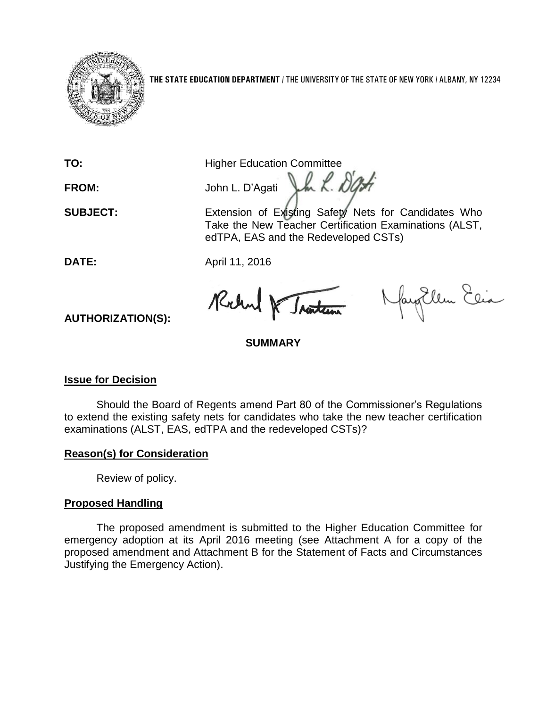

**THE STATE EDUCATION DEPARTMENT** / THE UNIVERSITY OF THE STATE OF NEW YORK / ALBANY, NY 12234

**TO:** Higher Education Committee

FROM: John L. D'Agati John K. D'Off

**SUBJECT:** Extension of Existing Safety Nets for Candidates Who Take the New Teacher Certification Examinations (ALST, edTPA, EAS and the Redeveloped CSTs)

**DATE:** April 11, 2016

Rochard & Traitern

NayoUlem Elia

**SUMMARY**

# **Issue for Decision**

**AUTHORIZATION(S):**

Should the Board of Regents amend Part 80 of the Commissioner's Regulations to extend the existing safety nets for candidates who take the new teacher certification examinations (ALST, EAS, edTPA and the redeveloped CSTs)?

# **Reason(s) for Consideration**

Review of policy.

# **Proposed Handling**

The proposed amendment is submitted to the Higher Education Committee for emergency adoption at its April 2016 meeting (see Attachment A for a copy of the proposed amendment and Attachment B for the Statement of Facts and Circumstances Justifying the Emergency Action).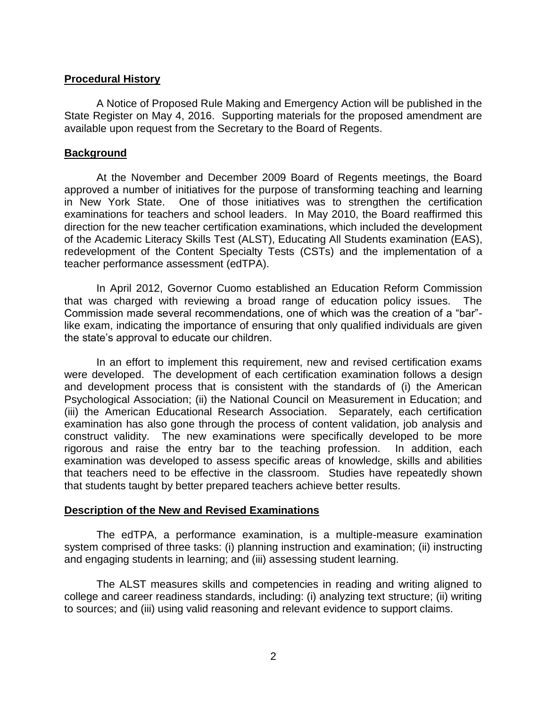#### **Procedural History**

A Notice of Proposed Rule Making and Emergency Action will be published in the State Register on May 4, 2016. Supporting materials for the proposed amendment are available upon request from the Secretary to the Board of Regents.

#### **Background**

At the November and December 2009 Board of Regents meetings, the Board approved a number of initiatives for the purpose of transforming teaching and learning in New York State. One of those initiatives was to strengthen the certification examinations for teachers and school leaders. In May 2010, the Board reaffirmed this direction for the new teacher certification examinations, which included the development of the Academic Literacy Skills Test (ALST), Educating All Students examination (EAS), redevelopment of the Content Specialty Tests (CSTs) and the implementation of a teacher performance assessment (edTPA).

In April 2012, Governor Cuomo established an Education Reform Commission that was charged with reviewing a broad range of education policy issues. The Commission made several recommendations, one of which was the creation of a "bar" like exam, indicating the importance of ensuring that only qualified individuals are given the state's approval to educate our children.

In an effort to implement this requirement, new and revised certification exams were developed. The development of each certification examination follows a design and development process that is consistent with the standards of (i) the American Psychological Association; (ii) the National Council on Measurement in Education; and (iii) the American Educational Research Association. Separately, each certification examination has also gone through the process of content validation, job analysis and construct validity. The new examinations were specifically developed to be more rigorous and raise the entry bar to the teaching profession. In addition, each examination was developed to assess specific areas of knowledge, skills and abilities that teachers need to be effective in the classroom. Studies have repeatedly shown that students taught by better prepared teachers achieve better results.

#### **Description of the New and Revised Examinations**

The edTPA, a performance examination, is a multiple-measure examination system comprised of three tasks: (i) planning instruction and examination; (ii) instructing and engaging students in learning; and (iii) assessing student learning.

The ALST measures skills and competencies in reading and writing aligned to college and career readiness standards, including: (i) analyzing text structure; (ii) writing to sources; and (iii) using valid reasoning and relevant evidence to support claims.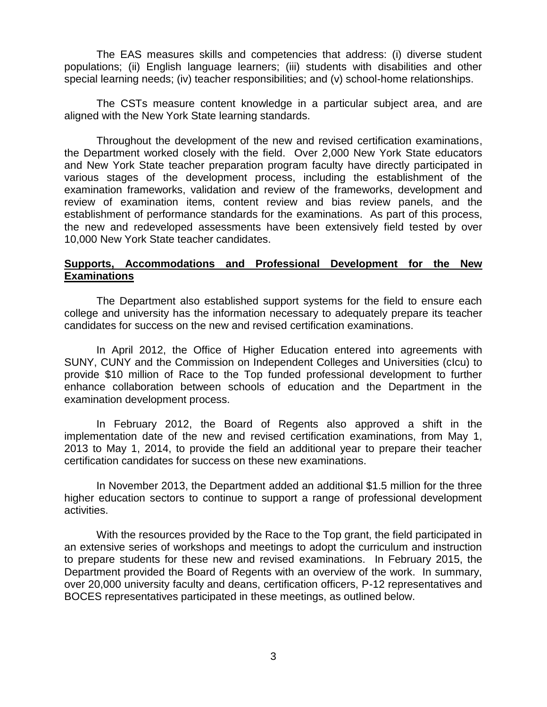The EAS measures skills and competencies that address: (i) diverse student populations; (ii) English language learners; (iii) students with disabilities and other special learning needs; (iv) teacher responsibilities; and (v) school-home relationships.

The CSTs measure content knowledge in a particular subject area, and are aligned with the New York State learning standards.

Throughout the development of the new and revised certification examinations, the Department worked closely with the field. Over 2,000 New York State educators and New York State teacher preparation program faculty have directly participated in various stages of the development process, including the establishment of the examination frameworks, validation and review of the frameworks, development and review of examination items, content review and bias review panels, and the establishment of performance standards for the examinations. As part of this process, the new and redeveloped assessments have been extensively field tested by over 10,000 New York State teacher candidates.

### **Supports, Accommodations and Professional Development for the New Examinations**

The Department also established support systems for the field to ensure each college and university has the information necessary to adequately prepare its teacher candidates for success on the new and revised certification examinations.

In April 2012, the Office of Higher Education entered into agreements with SUNY, CUNY and the Commission on Independent Colleges and Universities (cIcu) to provide \$10 million of Race to the Top funded professional development to further enhance collaboration between schools of education and the Department in the examination development process.

In February 2012, the Board of Regents also approved a shift in the implementation date of the new and revised certification examinations, from May 1, 2013 to May 1, 2014, to provide the field an additional year to prepare their teacher certification candidates for success on these new examinations.

In November 2013, the Department added an additional \$1.5 million for the three higher education sectors to continue to support a range of professional development activities.

With the resources provided by the Race to the Top grant, the field participated in an extensive series of workshops and meetings to adopt the curriculum and instruction to prepare students for these new and revised examinations. In February 2015, the Department provided the Board of Regents with an overview of the work. In summary, over 20,000 university faculty and deans, certification officers, P-12 representatives and BOCES representatives participated in these meetings, as outlined below.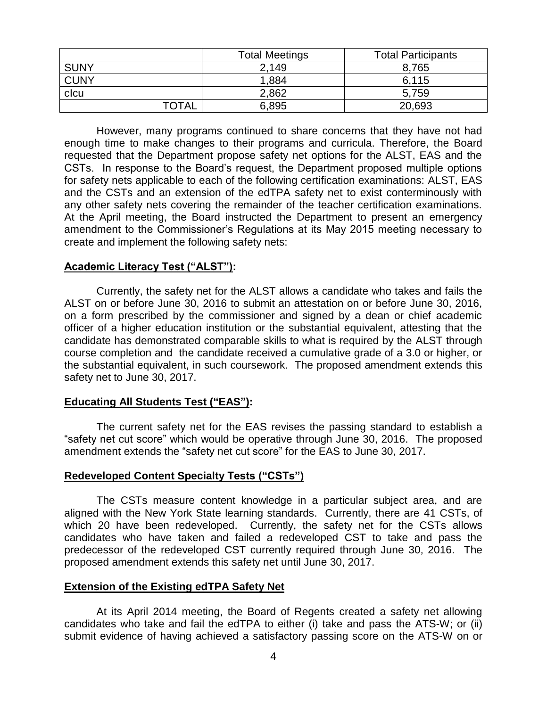|              | <b>Total Meetings</b> | <b>Total Participants</b> |
|--------------|-----------------------|---------------------------|
| <b>SUNY</b>  | 2.149                 | 8,765                     |
| <b>CUNY</b>  | 1.884                 | 6.115                     |
| clcu         | 2,862                 | 5,759                     |
| <b>TOTAL</b> | 6,895                 | 20,693                    |

However, many programs continued to share concerns that they have not had enough time to make changes to their programs and curricula. Therefore, the Board requested that the Department propose safety net options for the ALST, EAS and the CSTs. In response to the Board's request, the Department proposed multiple options for safety nets applicable to each of the following certification examinations: ALST, EAS and the CSTs and an extension of the edTPA safety net to exist conterminously with any other safety nets covering the remainder of the teacher certification examinations. At the April meeting, the Board instructed the Department to present an emergency amendment to the Commissioner's Regulations at its May 2015 meeting necessary to create and implement the following safety nets:

#### **Academic Literacy Test ("ALST"):**

Currently, the safety net for the ALST allows a candidate who takes and fails the ALST on or before June 30, 2016 to submit an attestation on or before June 30, 2016, on a form prescribed by the commissioner and signed by a dean or chief academic officer of a higher education institution or the substantial equivalent, attesting that the candidate has demonstrated comparable skills to what is required by the ALST through course completion and the candidate received a cumulative grade of a 3.0 or higher, or the substantial equivalent, in such coursework. The proposed amendment extends this safety net to June 30, 2017.

## **Educating All Students Test ("EAS"):**

The current safety net for the EAS revises the passing standard to establish a "safety net cut score" which would be operative through June 30, 2016. The proposed amendment extends the "safety net cut score" for the EAS to June 30, 2017.

#### **Redeveloped Content Specialty Tests ("CSTs")**

The CSTs measure content knowledge in a particular subject area, and are aligned with the New York State learning standards. Currently, there are 41 CSTs, of which 20 have been redeveloped. Currently, the safety net for the CSTs allows candidates who have taken and failed a redeveloped CST to take and pass the predecessor of the redeveloped CST currently required through June 30, 2016. The proposed amendment extends this safety net until June 30, 2017.

#### **Extension of the Existing edTPA Safety Net**

At its April 2014 meeting, the Board of Regents created a safety net allowing candidates who take and fail the edTPA to either (i) take and pass the ATS-W; or (ii) submit evidence of having achieved a satisfactory passing score on the ATS-W on or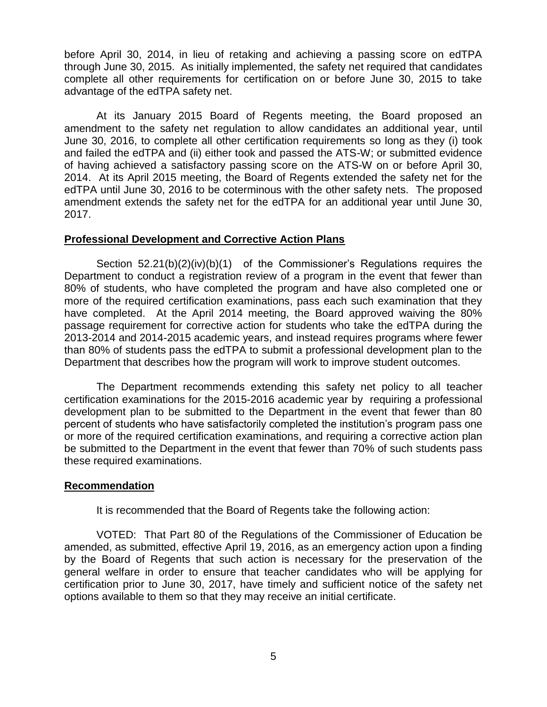before April 30, 2014, in lieu of retaking and achieving a passing score on edTPA through June 30, 2015. As initially implemented, the safety net required that candidates complete all other requirements for certification on or before June 30, 2015 to take advantage of the edTPA safety net.

At its January 2015 Board of Regents meeting, the Board proposed an amendment to the safety net regulation to allow candidates an additional year, until June 30, 2016, to complete all other certification requirements so long as they (i) took and failed the edTPA and (ii) either took and passed the ATS-W; or submitted evidence of having achieved a satisfactory passing score on the ATS-W on or before April 30, 2014. At its April 2015 meeting, the Board of Regents extended the safety net for the edTPA until June 30, 2016 to be coterminous with the other safety nets. The proposed amendment extends the safety net for the edTPA for an additional year until June 30, 2017.

#### **Professional Development and Corrective Action Plans**

Section 52.21(b)(2)(iv)(b)(1) of the Commissioner's Regulations requires the Department to conduct a registration review of a program in the event that fewer than 80% of students, who have completed the program and have also completed one or more of the required certification examinations, pass each such examination that they have completed. At the April 2014 meeting, the Board approved waiving the 80% passage requirement for corrective action for students who take the edTPA during the 2013-2014 and 2014-2015 academic years, and instead requires programs where fewer than 80% of students pass the edTPA to submit a professional development plan to the Department that describes how the program will work to improve student outcomes.

The Department recommends extending this safety net policy to all teacher certification examinations for the 2015-2016 academic year by requiring a professional development plan to be submitted to the Department in the event that fewer than 80 percent of students who have satisfactorily completed the institution's program pass one or more of the required certification examinations, and requiring a corrective action plan be submitted to the Department in the event that fewer than 70% of such students pass these required examinations.

## **Recommendation**

It is recommended that the Board of Regents take the following action:

VOTED: That Part 80 of the Regulations of the Commissioner of Education be amended, as submitted, effective April 19, 2016, as an emergency action upon a finding by the Board of Regents that such action is necessary for the preservation of the general welfare in order to ensure that teacher candidates who will be applying for certification prior to June 30, 2017, have timely and sufficient notice of the safety net options available to them so that they may receive an initial certificate.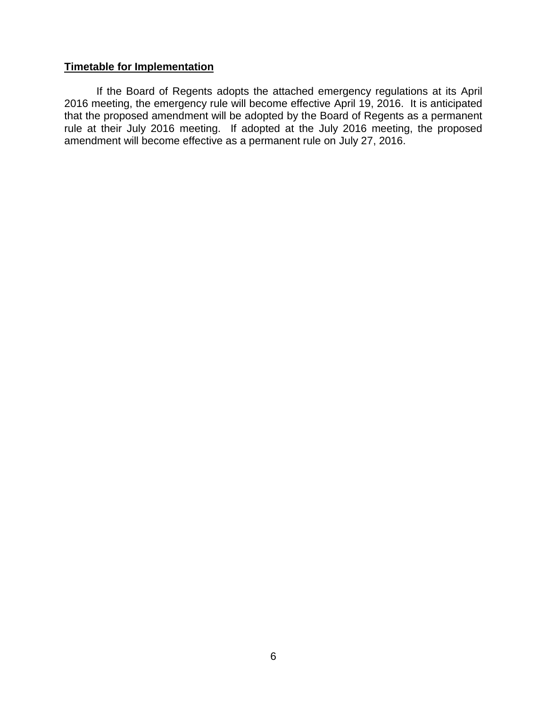## **Timetable for Implementation**

If the Board of Regents adopts the attached emergency regulations at its April 2016 meeting, the emergency rule will become effective April 19, 2016. It is anticipated that the proposed amendment will be adopted by the Board of Regents as a permanent rule at their July 2016 meeting. If adopted at the July 2016 meeting, the proposed amendment will become effective as a permanent rule on July 27, 2016.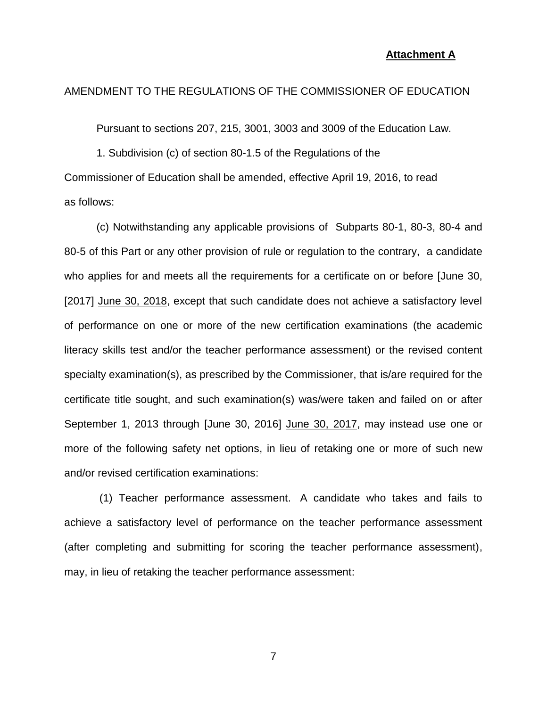#### **Attachment A**

#### AMENDMENT TO THE REGULATIONS OF THE COMMISSIONER OF EDUCATION

Pursuant to sections 207, 215, 3001, 3003 and 3009 of the Education Law.

1. Subdivision (c) of section 80-1.5 of the Regulations of the Commissioner of Education shall be amended, effective April 19, 2016, to read as follows:

(c) Notwithstanding any applicable provisions of Subparts 80-1, 80-3, 80-4 and 80-5 of this Part or any other provision of rule or regulation to the contrary, a candidate who applies for and meets all the requirements for a certificate on or before [June 30, [2017] June 30, 2018, except that such candidate does not achieve a satisfactory level of performance on one or more of the new certification examinations (the academic literacy skills test and/or the teacher performance assessment) or the revised content specialty examination(s), as prescribed by the Commissioner, that is/are required for the certificate title sought, and such examination(s) was/were taken and failed on or after September 1, 2013 through [June 30, 2016] June 30, 2017, may instead use one or more of the following safety net options, in lieu of retaking one or more of such new and/or revised certification examinations:

(1) Teacher performance assessment. A candidate who takes and fails to achieve a satisfactory level of performance on the teacher performance assessment (after completing and submitting for scoring the teacher performance assessment), may, in lieu of retaking the teacher performance assessment: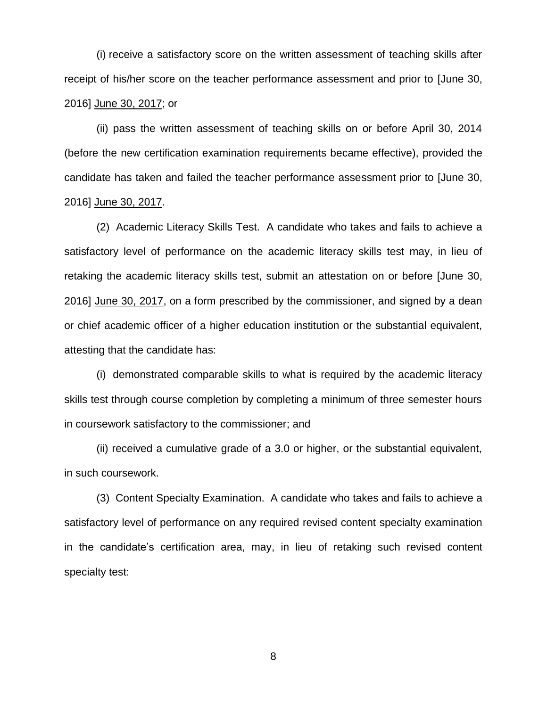(i) receive a satisfactory score on the written assessment of teaching skills after receipt of his/her score on the teacher performance assessment and prior to [June 30, 2016] June 30, 2017; or

(ii) pass the written assessment of teaching skills on or before April 30, 2014 (before the new certification examination requirements became effective), provided the candidate has taken and failed the teacher performance assessment prior to [June 30, 2016] June 30, 2017.

(2) Academic Literacy Skills Test. A candidate who takes and fails to achieve a satisfactory level of performance on the academic literacy skills test may, in lieu of retaking the academic literacy skills test, submit an attestation on or before [June 30, 2016] June 30, 2017, on a form prescribed by the commissioner, and signed by a dean or chief academic officer of a higher education institution or the substantial equivalent, attesting that the candidate has:

(i) demonstrated comparable skills to what is required by the academic literacy skills test through course completion by completing a minimum of three semester hours in coursework satisfactory to the commissioner; and

(ii) received a cumulative grade of a 3.0 or higher, or the substantial equivalent, in such coursework.

(3) Content Specialty Examination. A candidate who takes and fails to achieve a satisfactory level of performance on any required revised content specialty examination in the candidate's certification area, may, in lieu of retaking such revised content specialty test: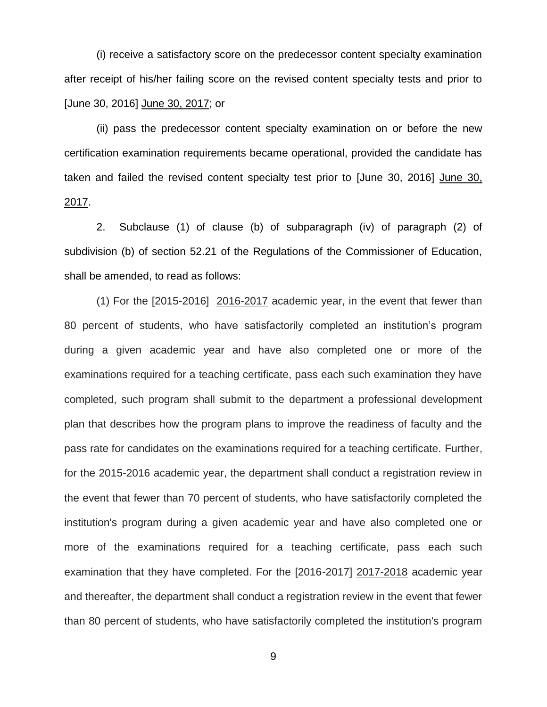(i) receive a satisfactory score on the predecessor content specialty examination after receipt of his/her failing score on the revised content specialty tests and prior to [June 30, 2016] June 30, 2017; or

(ii) pass the predecessor content specialty examination on or before the new certification examination requirements became operational, provided the candidate has taken and failed the revised content specialty test prior to [June 30, 2016] June 30, 2017.

2. Subclause (1) of clause (b) of subparagraph (iv) of paragraph (2) of subdivision (b) of section 52.21 of the Regulations of the Commissioner of Education, shall be amended, to read as follows:

(1) For the [2015-2016] 2016-2017 academic year, in the event that fewer than 80 percent of students, who have satisfactorily completed an institution's program during a given academic year and have also completed one or more of the examinations required for a teaching certificate, pass each such examination they have completed, such program shall submit to the department a professional development plan that describes how the program plans to improve the readiness of faculty and the pass rate for candidates on the examinations required for a teaching certificate. Further, for the 2015-2016 academic year, the department shall conduct a registration review in the event that fewer than 70 percent of students, who have satisfactorily completed the institution's program during a given academic year and have also completed one or more of the examinations required for a teaching certificate, pass each such examination that they have completed. For the [2016-2017] 2017-2018 academic year and thereafter, the department shall conduct a registration review in the event that fewer than 80 percent of students, who have satisfactorily completed the institution's program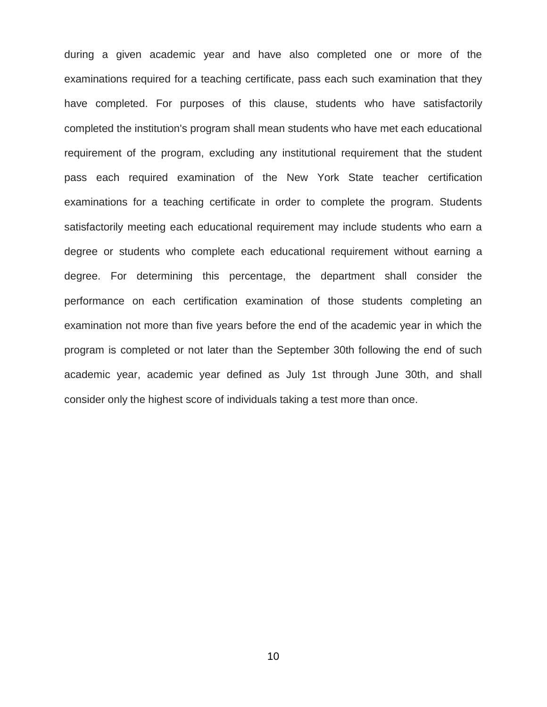during a given academic year and have also completed one or more of the examinations required for a teaching certificate, pass each such examination that they have completed. For purposes of this clause, students who have satisfactorily completed the institution's program shall mean students who have met each educational requirement of the program, excluding any institutional requirement that the student pass each required examination of the New York State teacher certification examinations for a teaching certificate in order to complete the program. Students satisfactorily meeting each educational requirement may include students who earn a degree or students who complete each educational requirement without earning a degree. For determining this percentage, the department shall consider the performance on each certification examination of those students completing an examination not more than five years before the end of the academic year in which the program is completed or not later than the September 30th following the end of such academic year, academic year defined as July 1st through June 30th, and shall consider only the highest score of individuals taking a test more than once.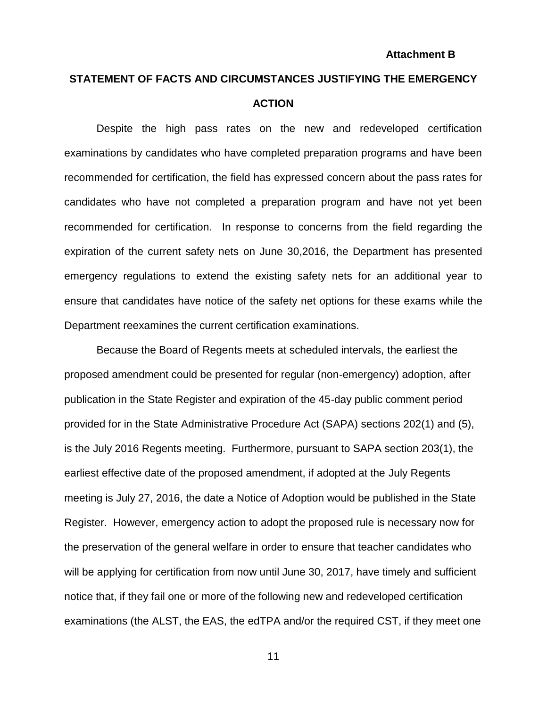# **STATEMENT OF FACTS AND CIRCUMSTANCES JUSTIFYING THE EMERGENCY ACTION**

Despite the high pass rates on the new and redeveloped certification examinations by candidates who have completed preparation programs and have been recommended for certification, the field has expressed concern about the pass rates for candidates who have not completed a preparation program and have not yet been recommended for certification. In response to concerns from the field regarding the expiration of the current safety nets on June 30,2016, the Department has presented emergency regulations to extend the existing safety nets for an additional year to ensure that candidates have notice of the safety net options for these exams while the Department reexamines the current certification examinations.

Because the Board of Regents meets at scheduled intervals, the earliest the proposed amendment could be presented for regular (non-emergency) adoption, after publication in the State Register and expiration of the 45-day public comment period provided for in the State Administrative Procedure Act (SAPA) sections 202(1) and (5), is the July 2016 Regents meeting. Furthermore, pursuant to SAPA section 203(1), the earliest effective date of the proposed amendment, if adopted at the July Regents meeting is July 27, 2016, the date a Notice of Adoption would be published in the State Register. However, emergency action to adopt the proposed rule is necessary now for the preservation of the general welfare in order to ensure that teacher candidates who will be applying for certification from now until June 30, 2017, have timely and sufficient notice that, if they fail one or more of the following new and redeveloped certification examinations (the ALST, the EAS, the edTPA and/or the required CST, if they meet one